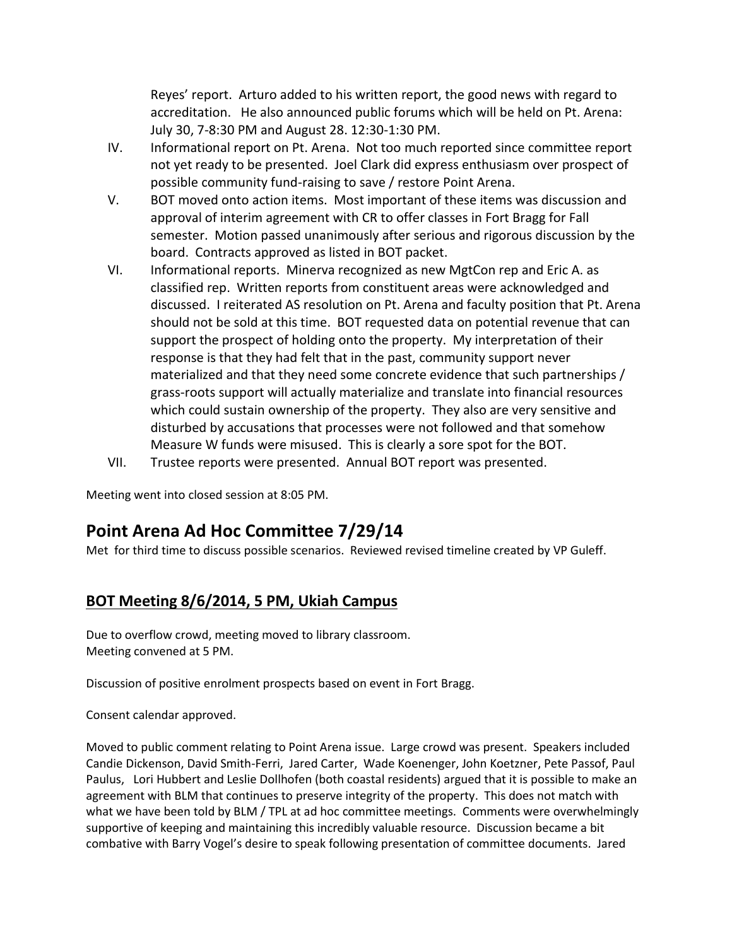Reyes' report. Arturo added to his written report, the good news with regard to accreditation. He also announced public forums which will be held on Pt. Arena: July 30, 7-8:30 PM and August 28. 12:30-1:30 PM.

- IV. Informational report on Pt. Arena. Not too much reported since committee report not yet ready to be presented. Joel Clark did express enthusiasm over prospect of possible community fund-raising to save / restore Point Arena.
- V. BOT moved onto action items. Most important of these items was discussion and approval of interim agreement with CR to offer classes in Fort Bragg for Fall semester. Motion passed unanimously after serious and rigorous discussion by the board. Contracts approved as listed in BOT packet.
- VI. Informational reports. Minerva recognized as new MgtCon rep and Eric A. as classified rep. Written reports from constituent areas were acknowledged and discussed. I reiterated AS resolution on Pt. Arena and faculty position that Pt. Arena should not be sold at this time. BOT requested data on potential revenue that can support the prospect of holding onto the property. My interpretation of their response is that they had felt that in the past, community support never materialized and that they need some concrete evidence that such partnerships / grass-roots support will actually materialize and translate into financial resources which could sustain ownership of the property. They also are very sensitive and disturbed by accusations that processes were not followed and that somehow Measure W funds were misused. This is clearly a sore spot for the BOT.
- VII. Trustee reports were presented. Annual BOT report was presented.

Meeting went into closed session at 8:05 PM.

# **Point Arena Ad Hoc Committee 7/29/14**

Met for third time to discuss possible scenarios. Reviewed revised timeline created by VP Guleff.

# **BOT Meeting 8/6/2014, 5 PM, Ukiah Campus**

Due to overflow crowd, meeting moved to library classroom. Meeting convened at 5 PM.

Discussion of positive enrolment prospects based on event in Fort Bragg.

Consent calendar approved.

Moved to public comment relating to Point Arena issue. Large crowd was present. Speakers included Candie Dickenson, David Smith-Ferri, Jared Carter, Wade Koenenger, John Koetzner, Pete Passof, Paul Paulus, Lori Hubbert and Leslie Dollhofen (both coastal residents) argued that it is possible to make an agreement with BLM that continues to preserve integrity of the property. This does not match with what we have been told by BLM / TPL at ad hoc committee meetings. Comments were overwhelmingly supportive of keeping and maintaining this incredibly valuable resource. Discussion became a bit combative with Barry Vogel's desire to speak following presentation of committee documents. Jared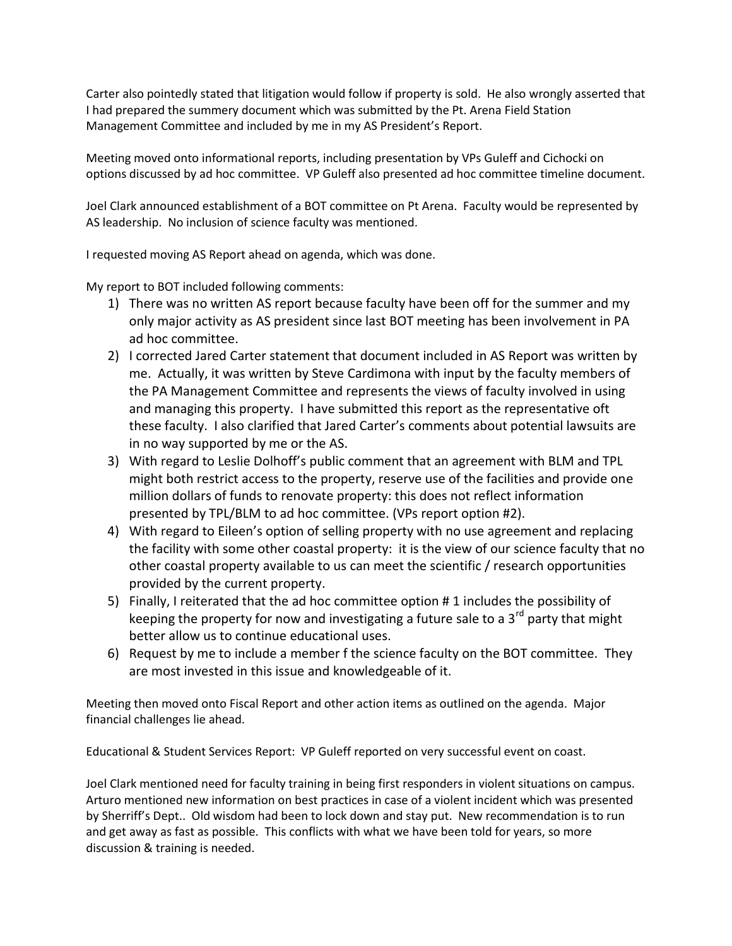Carter also pointedly stated that litigation would follow if property is sold. He also wrongly asserted that I had prepared the summery document which was submitted by the Pt. Arena Field Station Management Committee and included by me in my AS President's Report.

Meeting moved onto informational reports, including presentation by VPs Guleff and Cichocki on options discussed by ad hoc committee. VP Guleff also presented ad hoc committee timeline document.

Joel Clark announced establishment of a BOT committee on Pt Arena. Faculty would be represented by AS leadership. No inclusion of science faculty was mentioned.

I requested moving AS Report ahead on agenda, which was done.

My report to BOT included following comments:

- 1) There was no written AS report because faculty have been off for the summer and my only major activity as AS president since last BOT meeting has been involvement in PA ad hoc committee.
- 2) I corrected Jared Carter statement that document included in AS Report was written by me. Actually, it was written by Steve Cardimona with input by the faculty members of the PA Management Committee and represents the views of faculty involved in using and managing this property. I have submitted this report as the representative oft these faculty. I also clarified that Jared Carter's comments about potential lawsuits are in no way supported by me or the AS.
- 3) With regard to Leslie Dolhoff's public comment that an agreement with BLM and TPL might both restrict access to the property, reserve use of the facilities and provide one million dollars of funds to renovate property: this does not reflect information presented by TPL/BLM to ad hoc committee. (VPs report option #2).
- 4) With regard to Eileen's option of selling property with no use agreement and replacing the facility with some other coastal property: it is the view of our science faculty that no other coastal property available to us can meet the scientific / research opportunities provided by the current property.
- 5) Finally, I reiterated that the ad hoc committee option # 1 includes the possibility of keeping the property for now and investigating a future sale to a  $3<sup>rd</sup>$  party that might better allow us to continue educational uses.
- 6) Request by me to include a member f the science faculty on the BOT committee. They are most invested in this issue and knowledgeable of it.

Meeting then moved onto Fiscal Report and other action items as outlined on the agenda. Major financial challenges lie ahead.

Educational & Student Services Report: VP Guleff reported on very successful event on coast.

Joel Clark mentioned need for faculty training in being first responders in violent situations on campus. Arturo mentioned new information on best practices in case of a violent incident which was presented by Sherriff's Dept.. Old wisdom had been to lock down and stay put. New recommendation is to run and get away as fast as possible. This conflicts with what we have been told for years, so more discussion & training is needed.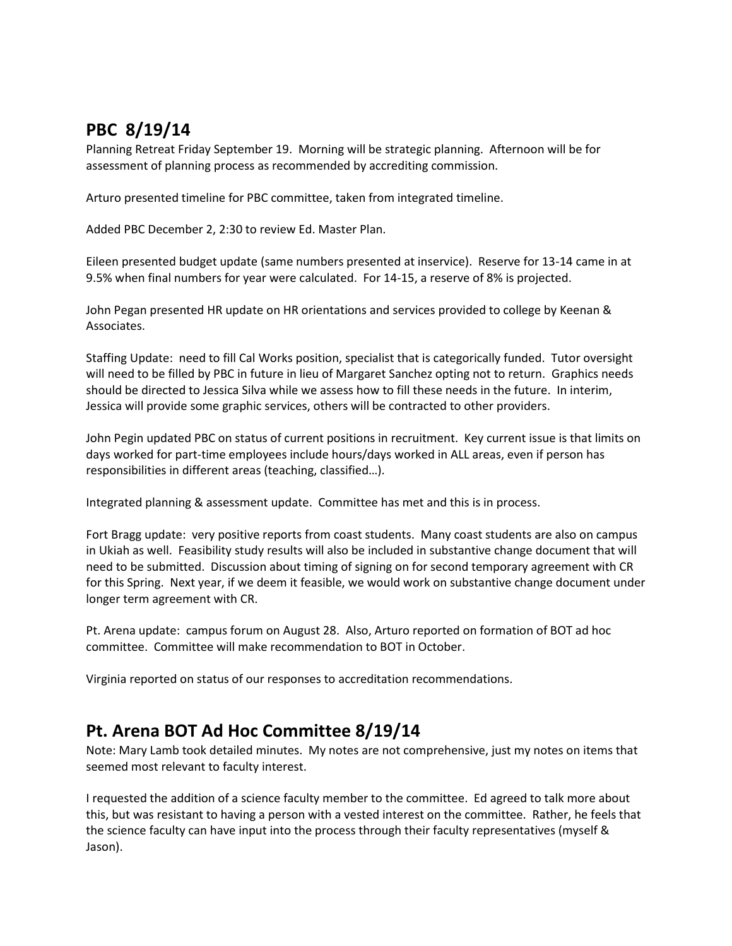# **PBC 8/19/14**

Planning Retreat Friday September 19. Morning will be strategic planning. Afternoon will be for assessment of planning process as recommended by accrediting commission.

Arturo presented timeline for PBC committee, taken from integrated timeline.

Added PBC December 2, 2:30 to review Ed. Master Plan.

Eileen presented budget update (same numbers presented at inservice). Reserve for 13-14 came in at 9.5% when final numbers for year were calculated. For 14-15, a reserve of 8% is projected.

John Pegan presented HR update on HR orientations and services provided to college by Keenan & Associates.

Staffing Update: need to fill Cal Works position, specialist that is categorically funded. Tutor oversight will need to be filled by PBC in future in lieu of Margaret Sanchez opting not to return. Graphics needs should be directed to Jessica Silva while we assess how to fill these needs in the future. In interim, Jessica will provide some graphic services, others will be contracted to other providers.

John Pegin updated PBC on status of current positions in recruitment. Key current issue is that limits on days worked for part-time employees include hours/days worked in ALL areas, even if person has responsibilities in different areas (teaching, classified…).

Integrated planning & assessment update. Committee has met and this is in process.

Fort Bragg update: very positive reports from coast students. Many coast students are also on campus in Ukiah as well. Feasibility study results will also be included in substantive change document that will need to be submitted. Discussion about timing of signing on for second temporary agreement with CR for this Spring. Next year, if we deem it feasible, we would work on substantive change document under longer term agreement with CR.

Pt. Arena update: campus forum on August 28. Also, Arturo reported on formation of BOT ad hoc committee. Committee will make recommendation to BOT in October.

Virginia reported on status of our responses to accreditation recommendations.

# **Pt. Arena BOT Ad Hoc Committee 8/19/14**

Note: Mary Lamb took detailed minutes. My notes are not comprehensive, just my notes on items that seemed most relevant to faculty interest.

I requested the addition of a science faculty member to the committee. Ed agreed to talk more about this, but was resistant to having a person with a vested interest on the committee. Rather, he feels that the science faculty can have input into the process through their faculty representatives (myself & Jason).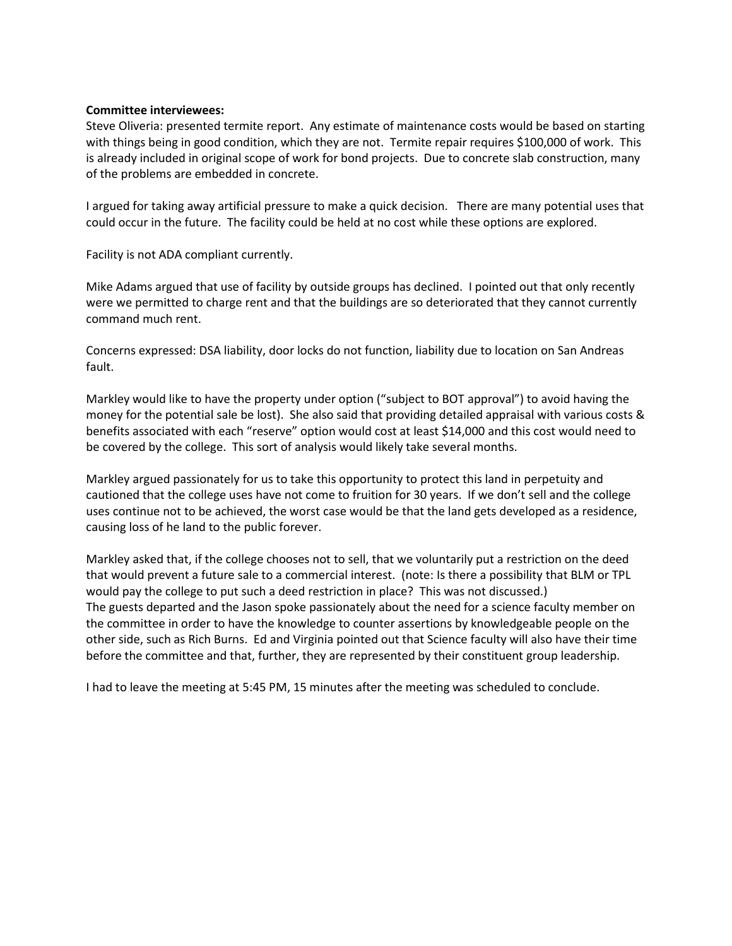## **Committee interviewees:**

Steve Oliveria: presented termite report. Any estimate of maintenance costs would be based on starting with things being in good condition, which they are not. Termite repair requires \$100,000 of work. This is already included in original scope of work for bond projects. Due to concrete slab construction, many of the problems are embedded in concrete.

I argued for taking away artificial pressure to make a quick decision. There are many potential uses that could occur in the future. The facility could be held at no cost while these options are explored.

Facility is not ADA compliant currently.

Mike Adams argued that use of facility by outside groups has declined. I pointed out that only recently were we permitted to charge rent and that the buildings are so deteriorated that they cannot currently command much rent.

Concerns expressed: DSA liability, door locks do not function, liability due to location on San Andreas fault.

Markley would like to have the property under option ("subject to BOT approval") to avoid having the money for the potential sale be lost). She also said that providing detailed appraisal with various costs & benefits associated with each "reserve" option would cost at least \$14,000 and this cost would need to be covered by the college. This sort of analysis would likely take several months.

Markley argued passionately for us to take this opportunity to protect this land in perpetuity and cautioned that the college uses have not come to fruition for 30 years. If we don't sell and the college uses continue not to be achieved, the worst case would be that the land gets developed as a residence, causing loss of he land to the public forever.

Markley asked that, if the college chooses not to sell, that we voluntarily put a restriction on the deed that would prevent a future sale to a commercial interest. (note: Is there a possibility that BLM or TPL would pay the college to put such a deed restriction in place? This was not discussed.) The guests departed and the Jason spoke passionately about the need for a science faculty member on the committee in order to have the knowledge to counter assertions by knowledgeable people on the other side, such as Rich Burns. Ed and Virginia pointed out that Science faculty will also have their time before the committee and that, further, they are represented by their constituent group leadership.

I had to leave the meeting at 5:45 PM, 15 minutes after the meeting was scheduled to conclude.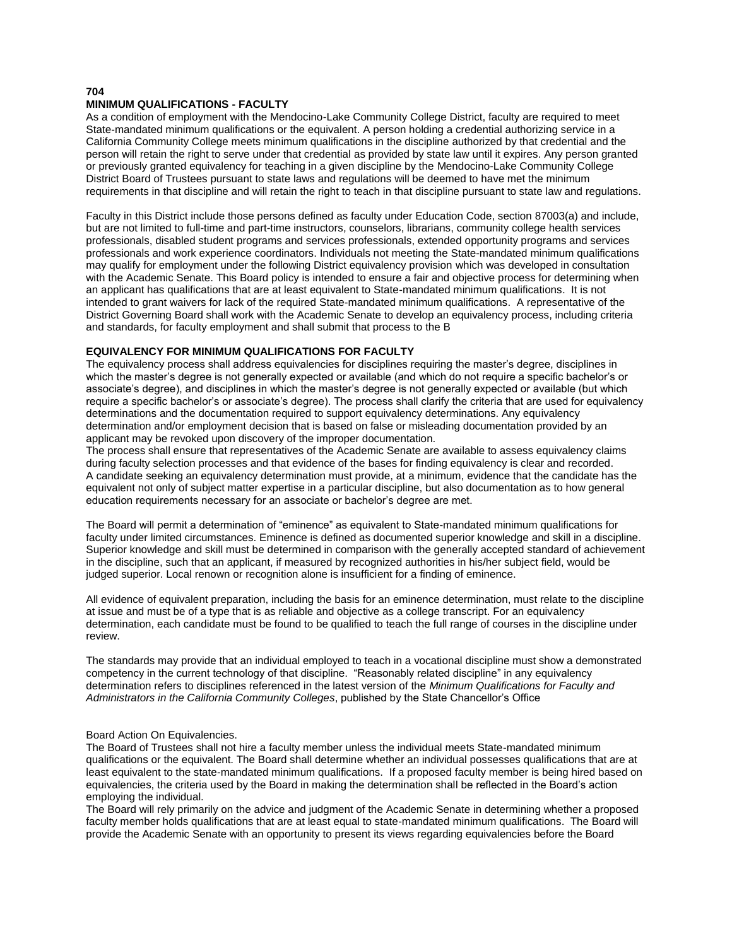#### **704**

#### **MINIMUM QUALIFICATIONS - FACULTY**

As a condition of employment with the Mendocino-Lake Community College District, faculty are required to meet State-mandated minimum qualifications or the equivalent. A person holding a credential authorizing service in a California Community College meets minimum qualifications in the discipline authorized by that credential and the person will retain the right to serve under that credential as provided by state law until it expires. Any person granted or previously granted equivalency for teaching in a given discipline by the Mendocino-Lake Community College District Board of Trustees pursuant to state laws and regulations will be deemed to have met the minimum requirements in that discipline and will retain the right to teach in that discipline pursuant to state law and regulations.

Faculty in this District include those persons defined as faculty under Education Code, section 87003(a) and include, but are not limited to full-time and part-time instructors, counselors, librarians, community college health services professionals, disabled student programs and services professionals, extended opportunity programs and services professionals and work experience coordinators. Individuals not meeting the State-mandated minimum qualifications may qualify for employment under the following District equivalency provision which was developed in consultation with the Academic Senate. This Board policy is intended to ensure a fair and objective process for determining when an applicant has qualifications that are at least equivalent to State-mandated minimum qualifications. It is not intended to grant waivers for lack of the required State-mandated minimum qualifications. A representative of the District Governing Board shall work with the Academic Senate to develop an equivalency process, including criteria and standards, for faculty employment and shall submit that process to the B

#### **EQUIVALENCY FOR MINIMUM QUALIFICATIONS FOR FACULTY**

The equivalency process shall address equivalencies for disciplines requiring the master's degree, disciplines in which the master's degree is not generally expected or available (and which do not require a specific bachelor's or associate's degree), and disciplines in which the master's degree is not generally expected or available (but which require a specific bachelor's or associate's degree). The process shall clarify the criteria that are used for equivalency determinations and the documentation required to support equivalency determinations. Any equivalency determination and/or employment decision that is based on false or misleading documentation provided by an applicant may be revoked upon discovery of the improper documentation.

The process shall ensure that representatives of the Academic Senate are available to assess equivalency claims during faculty selection processes and that evidence of the bases for finding equivalency is clear and recorded. A candidate seeking an equivalency determination must provide, at a minimum, evidence that the candidate has the equivalent not only of subject matter expertise in a particular discipline, but also documentation as to how general education requirements necessary for an associate or bachelor's degree are met.

The Board will permit a determination of "eminence" as equivalent to State-mandated minimum qualifications for faculty under limited circumstances. Eminence is defined as documented superior knowledge and skill in a discipline. Superior knowledge and skill must be determined in comparison with the generally accepted standard of achievement in the discipline, such that an applicant, if measured by recognized authorities in his/her subject field, would be judged superior. Local renown or recognition alone is insufficient for a finding of eminence.

All evidence of equivalent preparation, including the basis for an eminence determination, must relate to the discipline at issue and must be of a type that is as reliable and objective as a college transcript. For an equivalency determination, each candidate must be found to be qualified to teach the full range of courses in the discipline under review.

The standards may provide that an individual employed to teach in a vocational discipline must show a demonstrated competency in the current technology of that discipline. "Reasonably related discipline" in any equivalency determination refers to disciplines referenced in the latest version of the *Minimum Qualifications for Faculty and Administrators in the California Community Colleges*, published by the State Chancellor's Office

#### Board Action On Equivalencies.

The Board of Trustees shall not hire a faculty member unless the individual meets State-mandated minimum qualifications or the equivalent. The Board shall determine whether an individual possesses qualifications that are at least equivalent to the state-mandated minimum qualifications. If a proposed faculty member is being hired based on equivalencies, the criteria used by the Board in making the determination shall be reflected in the Board's action employing the individual.

The Board will rely primarily on the advice and judgment of the Academic Senate in determining whether a proposed faculty member holds qualifications that are at least equal to state-mandated minimum qualifications. The Board will provide the Academic Senate with an opportunity to present its views regarding equivalencies before the Board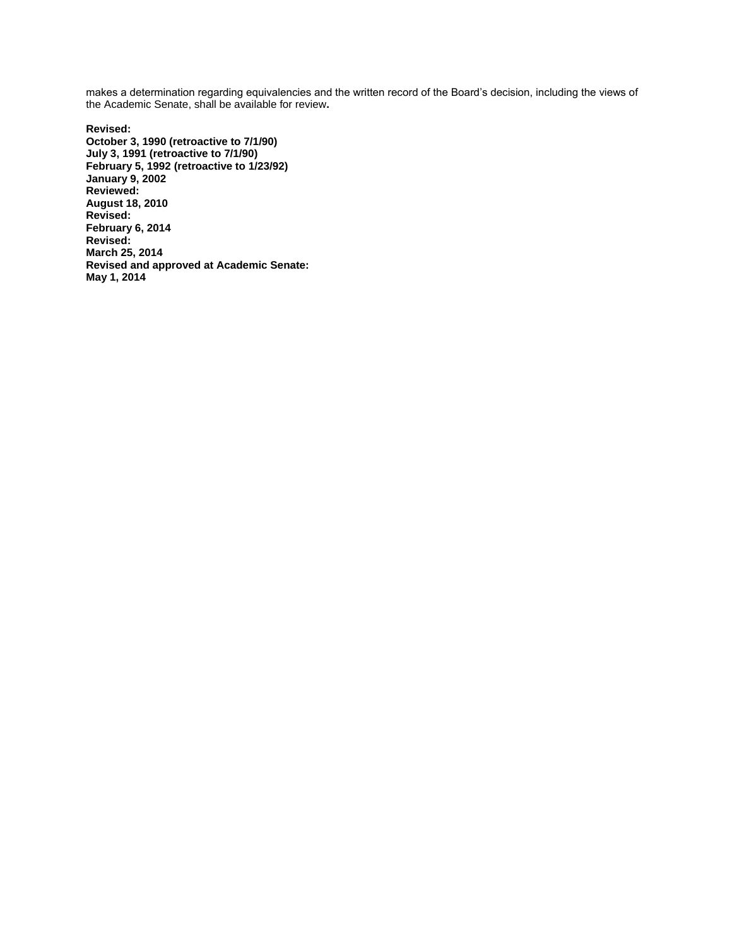makes a determination regarding equivalencies and the written record of the Board's decision, including the views of the Academic Senate, shall be available for review**.** 

**Revised: October 3, 1990 (retroactive to 7/1/90) July 3, 1991 (retroactive to 7/1/90) February 5, 1992 (retroactive to 1/23/92) January 9, 2002 Reviewed: August 18, 2010 Revised: February 6, 2014 Revised: March 25, 2014 Revised and approved at Academic Senate: May 1, 2014**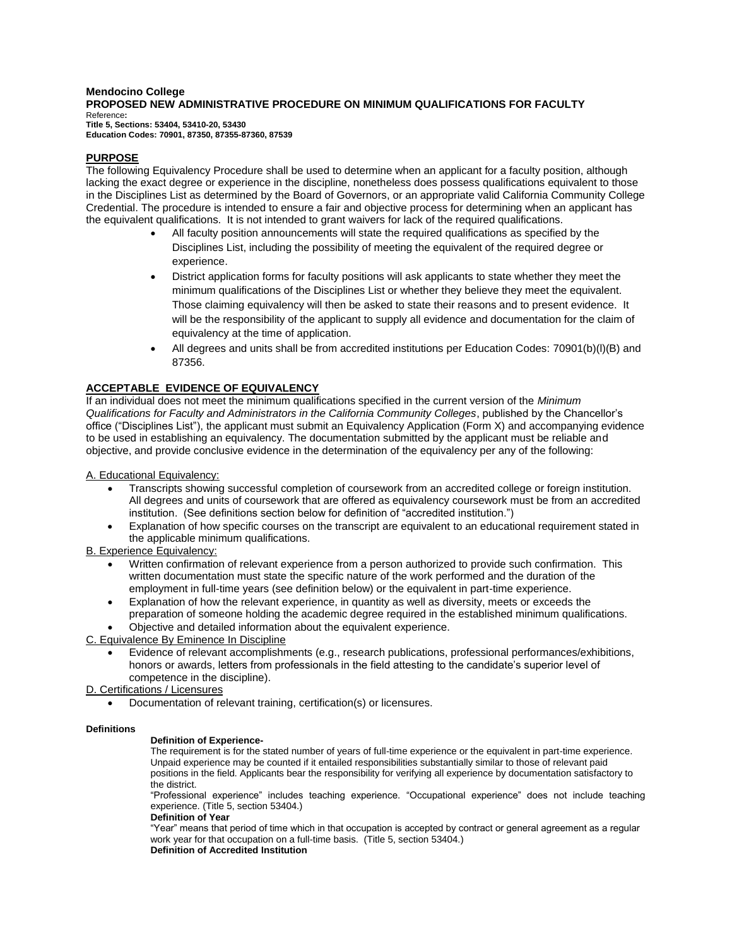#### **Mendocino College PROPOSED NEW ADMINISTRATIVE PROCEDURE ON MINIMUM QUALIFICATIONS FOR FACULTY**  Reference**: Title 5, Sections: 53404, 53410-20, 53430**

**Education Codes: 70901, 87350, 87355-87360, 87539**

## **PURPOSE**

The following Equivalency Procedure shall be used to determine when an applicant for a faculty position, although lacking the exact degree or experience in the discipline, nonetheless does possess qualifications equivalent to those in the Disciplines List as determined by the Board of Governors, or an appropriate valid California Community College Credential. The procedure is intended to ensure a fair and objective process for determining when an applicant has the equivalent qualifications. It is not intended to grant waivers for lack of the required qualifications.

- All faculty position announcements will state the required qualifications as specified by the Disciplines List, including the possibility of meeting the equivalent of the required degree or experience.
- District application forms for faculty positions will ask applicants to state whether they meet the minimum qualifications of the Disciplines List or whether they believe they meet the equivalent. Those claiming equivalency will then be asked to state their reasons and to present evidence. It will be the responsibility of the applicant to supply all evidence and documentation for the claim of equivalency at the time of application.
- All degrees and units shall be from accredited institutions per Education Codes: 70901(b)(l)(B) and 87356.

## **ACCEPTABLE EVIDENCE OF EQUIVALENCY**

If an individual does not meet the minimum qualifications specified in the current version of the *Minimum Qualifications for Faculty and Administrators in the California Community Colleges*, published by the Chancellor's office ("Disciplines List"), the applicant must submit an Equivalency Application (Form X) and accompanying evidence to be used in establishing an equivalency. The documentation submitted by the applicant must be reliable and objective, and provide conclusive evidence in the determination of the equivalency per any of the following:

A. Educational Equivalency:

- Transcripts showing successful completion of coursework from an accredited college or foreign institution. All degrees and units of coursework that are offered as equivalency coursework must be from an accredited institution. (See definitions section below for definition of "accredited institution.")
- Explanation of how specific courses on the transcript are equivalent to an educational requirement stated in the applicable minimum qualifications.

B. Experience Equivalency:

- Written confirmation of relevant experience from a person authorized to provide such confirmation. This written documentation must state the specific nature of the work performed and the duration of the employment in full-time years (see definition below) or the equivalent in part-time experience.
- Explanation of how the relevant experience, in quantity as well as diversity, meets or exceeds the preparation of someone holding the academic degree required in the established minimum qualifications.
- Objective and detailed information about the equivalent experience.
- C. Equivalence By Eminence In Discipline
	- Evidence of relevant accomplishments (e.g., research publications, professional performances/exhibitions, honors or awards, letters from professionals in the field attesting to the candidate's superior level of competence in the discipline).

D. Certifications / Licensures

Documentation of relevant training, certification(s) or licensures.

#### **Definitions**

#### **Definition of Experience-**

The requirement is for the stated number of years of full-time experience or the equivalent in part-time experience. Unpaid experience may be counted if it entailed responsibilities substantially similar to those of relevant paid positions in the field. Applicants bear the responsibility for verifying all experience by documentation satisfactory to the district.

"Professional experience" includes teaching experience. "Occupational experience" does not include teaching experience. (Title 5, section 53404.)

**Definition of Year** 

"Year" means that period of time which in that occupation is accepted by contract or general agreement as a regular work year for that occupation on a full-time basis. (Title 5, section 53404.)

**Definition of Accredited Institution**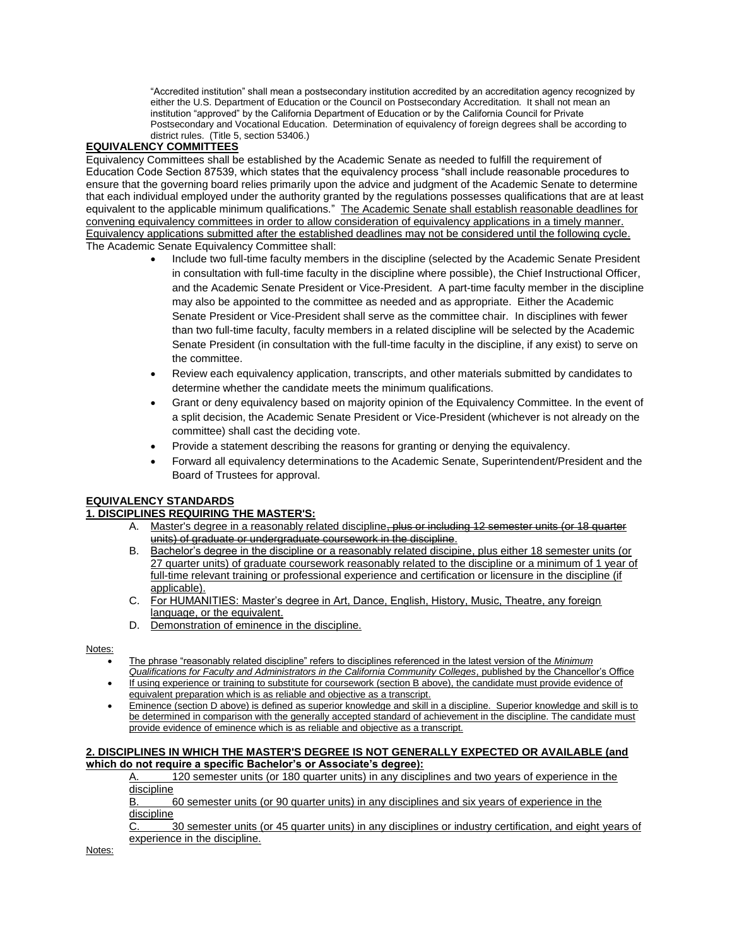"Accredited institution" shall mean a postsecondary institution accredited by an accreditation agency recognized by either the U.S. Department of Education or the Council on Postsecondary Accreditation. It shall not mean an institution "approved" by the California Department of Education or by the California Council for Private Postsecondary and Vocational Education. Determination of equivalency of foreign degrees shall be according to district rules. (Title 5, section 53406.)

### **EQUIVALENCY COMMITTEES**

Equivalency Committees shall be established by the Academic Senate as needed to fulfill the requirement of Education Code Section 87539, which states that the equivalency process "shall include reasonable procedures to ensure that the governing board relies primarily upon the advice and judgment of the Academic Senate to determine that each individual employed under the authority granted by the regulations possesses qualifications that are at least equivalent to the applicable minimum qualifications." The Academic Senate shall establish reasonable deadlines for convening equivalency committees in order to allow consideration of equivalency applications in a timely manner. Equivalency applications submitted after the established deadlines may not be considered until the following cycle. The Academic Senate Equivalency Committee shall:

- Include two full-time faculty members in the discipline (selected by the Academic Senate President in consultation with full-time faculty in the discipline where possible), the Chief Instructional Officer, and the Academic Senate President or Vice-President. A part-time faculty member in the discipline may also be appointed to the committee as needed and as appropriate. Either the Academic Senate President or Vice-President shall serve as the committee chair. In disciplines with fewer than two full-time faculty, faculty members in a related discipline will be selected by the Academic Senate President (in consultation with the full-time faculty in the discipline, if any exist) to serve on the committee.
- Review each equivalency application, transcripts, and other materials submitted by candidates to determine whether the candidate meets the minimum qualifications.
- Grant or deny equivalency based on majority opinion of the Equivalency Committee. In the event of a split decision, the Academic Senate President or Vice-President (whichever is not already on the committee) shall cast the deciding vote.
- Provide a statement describing the reasons for granting or denying the equivalency.
- Forward all equivalency determinations to the Academic Senate, Superintendent/President and the Board of Trustees for approval.

#### **EQUIVALENCY STANDARDS**

#### **1. DISCIPLINES REQUIRING THE MASTER'S:**

- A. Master's degree in a reasonably related discipline, plus or including 12 semester units (or 18 quarter units) of graduate or undergraduate coursework in the discipline.
- B. Bachelor's degree in the discipline or a reasonably related discipine, plus either 18 semester units (or 27 quarter units) of graduate coursework reasonably related to the discipline or a minimum of 1 year of full-time relevant training or professional experience and certification or licensure in the discipline (if applicable).
- C. For HUMANITIES: Master's degree in Art, Dance, English, History, Music, Theatre, any foreign language, or the equivalent.
- D. Demonstration of eminence in the discipline.

Notes:

- The phrase "reasonably related discipline" refers to disciplines referenced in the latest version of the *Minimum Qualifications for Faculty and Administrators in the California Community Colleges*, published by the Chancellor's Office
- If using experience or training to substitute for coursework (section B above), the candidate must provide evidence of equivalent preparation which is as reliable and objective as a transcript.
- Eminence (section D above) is defined as superior knowledge and skill in a discipline. Superior knowledge and skill is to be determined in comparison with the generally accepted standard of achievement in the discipline. The candidate must provide evidence of eminence which is as reliable and objective as a transcript.

#### **2. DISCIPLINES IN WHICH THE MASTER'S DEGREE IS NOT GENERALLY EXPECTED OR AVAILABLE (and which do not require a specific Bachelor's or Associate's degree):**

A. 120 semester units (or 180 quarter units) in any disciplines and two years of experience in the **discipline** 

B. 60 semester units (or 90 quarter units) in any disciplines and six years of experience in the **discipline** 

C. 30 semester units (or 45 quarter units) in any disciplines or industry certification, and eight years of experience in the discipline.

Notes: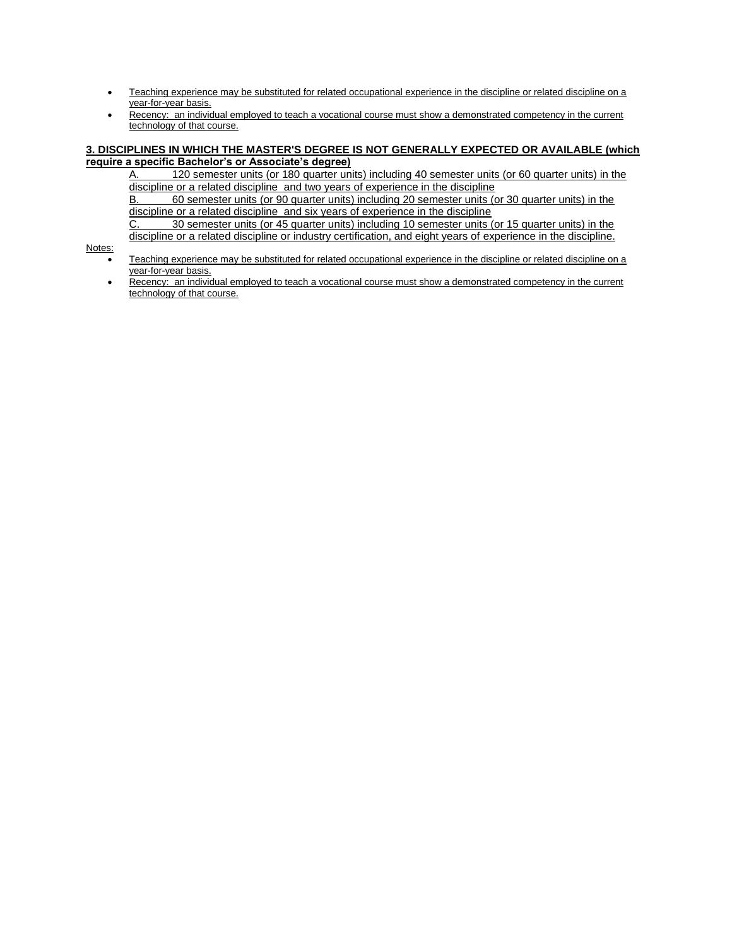- Teaching experience may be substituted for related occupational experience in the discipline or related discipline on a year-for-year basis.
- Recency: an individual employed to teach a vocational course must show a demonstrated competency in the current technology of that course.

#### **3. DISCIPLINES IN WHICH THE MASTER'S DEGREE IS NOT GENERALLY EXPECTED OR AVAILABLE (which require a specific Bachelor's or Associate's degree)**

A. 120 semester units (or 180 quarter units) including 40 semester units (or 60 quarter units) in the discipline or a related discipline and two years of experience in the discipline

B. 60 semester units (or 90 quarter units) including 20 semester units (or 30 quarter units) in the discipline or a related discipline and six years of experience in the discipline

C. 30 semester units (or 45 quarter units) including 10 semester units (or 15 quarter units) in the discipline or a related discipline or industry certification, and eight years of experience in the discipline.

Notes:

- Teaching experience may be substituted for related occupational experience in the discipline or related discipline on a year-for-year basis.
- Recency: an individual employed to teach a vocational course must show a demonstrated competency in the current technology of that course.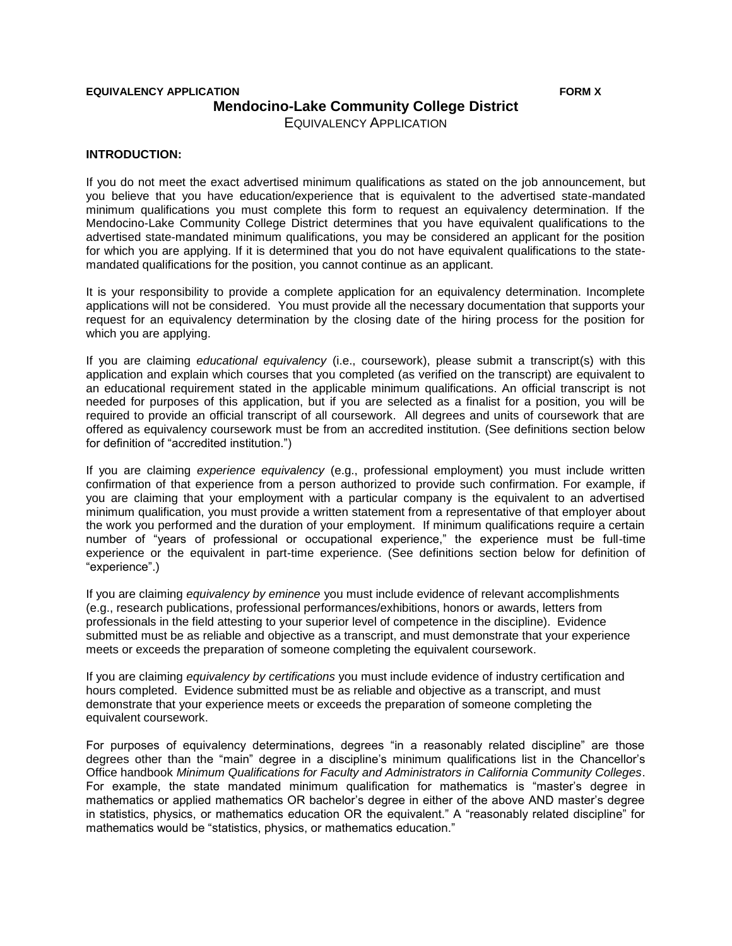## **EQUIVALENCY APPLICATION FORM X Mendocino-Lake Community College District**  EQUIVALENCY APPLICATION

### **INTRODUCTION:**

If you do not meet the exact advertised minimum qualifications as stated on the job announcement, but you believe that you have education/experience that is equivalent to the advertised state-mandated minimum qualifications you must complete this form to request an equivalency determination. If the Mendocino-Lake Community College District determines that you have equivalent qualifications to the advertised state-mandated minimum qualifications, you may be considered an applicant for the position for which you are applying. If it is determined that you do not have equivalent qualifications to the statemandated qualifications for the position, you cannot continue as an applicant.

It is your responsibility to provide a complete application for an equivalency determination. Incomplete applications will not be considered. You must provide all the necessary documentation that supports your request for an equivalency determination by the closing date of the hiring process for the position for which you are applying.

If you are claiming *educational equivalency* (i.e., coursework), please submit a transcript(s) with this application and explain which courses that you completed (as verified on the transcript) are equivalent to an educational requirement stated in the applicable minimum qualifications. An official transcript is not needed for purposes of this application, but if you are selected as a finalist for a position, you will be required to provide an official transcript of all coursework. All degrees and units of coursework that are offered as equivalency coursework must be from an accredited institution. (See definitions section below for definition of "accredited institution.")

If you are claiming *experience equivalency* (e.g., professional employment) you must include written confirmation of that experience from a person authorized to provide such confirmation. For example, if you are claiming that your employment with a particular company is the equivalent to an advertised minimum qualification, you must provide a written statement from a representative of that employer about the work you performed and the duration of your employment. If minimum qualifications require a certain number of "years of professional or occupational experience," the experience must be full-time experience or the equivalent in part-time experience. (See definitions section below for definition of "experience".)

If you are claiming *equivalency by eminence* you must include evidence of relevant accomplishments (e.g., research publications, professional performances/exhibitions, honors or awards, letters from professionals in the field attesting to your superior level of competence in the discipline). Evidence submitted must be as reliable and objective as a transcript, and must demonstrate that your experience meets or exceeds the preparation of someone completing the equivalent coursework.

If you are claiming *equivalency by certifications* you must include evidence of industry certification and hours completed. Evidence submitted must be as reliable and objective as a transcript, and must demonstrate that your experience meets or exceeds the preparation of someone completing the equivalent coursework.

For purposes of equivalency determinations, degrees "in a reasonably related discipline" are those degrees other than the "main" degree in a discipline's minimum qualifications list in the Chancellor's Office handbook *Minimum Qualifications for Faculty and Administrators in California Community Colleges*. For example, the state mandated minimum qualification for mathematics is "master's degree in mathematics or applied mathematics OR bachelor's degree in either of the above AND master's degree in statistics, physics, or mathematics education OR the equivalent." A "reasonably related discipline" for mathematics would be "statistics, physics, or mathematics education."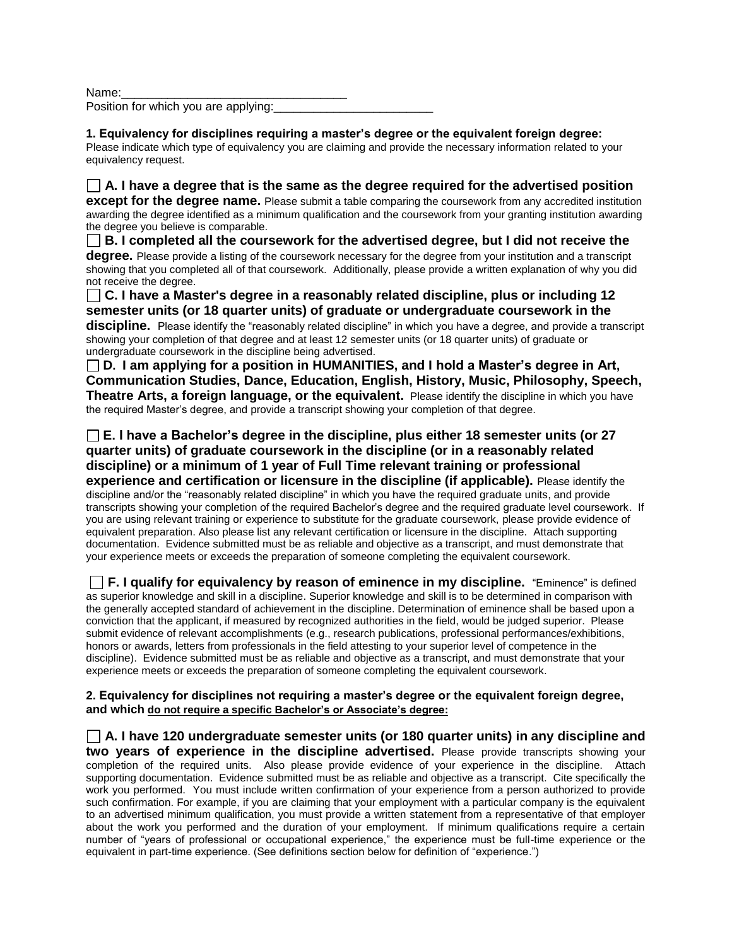Name:

Position for which you are applying:

**1. Equivalency for disciplines requiring a master's degree or the equivalent foreign degree:** Please indicate which type of equivalency you are claiming and provide the necessary information related to your equivalency request.

**A. I have a degree that is the same as the degree required for the advertised position except for the degree name.** Please submit a table comparing the coursework from any accredited institution awarding the degree identified as a minimum qualification and the coursework from your granting institution awarding the degree you believe is comparable.

**B. I completed all the coursework for the advertised degree, but I did not receive the degree.** Please provide a listing of the coursework necessary for the degree from your institution and a transcript showing that you completed all of that coursework. Additionally, please provide a written explanation of why you did not receive the degree.

**C. I have a Master's degree in a reasonably related discipline, plus or including 12 semester units (or 18 quarter units) of graduate or undergraduate coursework in the discipline.** Please identify the "reasonably related discipline" in which you have a degree, and provide a transcript showing your completion of that degree and at least 12 semester units (or 18 quarter units) of graduate or undergraduate coursework in the discipline being advertised.

**D. I am applying for a position in HUMANITIES, and I hold a Master's degree in Art, Communication Studies, Dance, Education, English, History, Music, Philosophy, Speech, Theatre Arts, a foreign language, or the equivalent.** Please identify the discipline in which you have the required Master's degree, and provide a transcript showing your completion of that degree.

**E. I have a Bachelor's degree in the discipline, plus either 18 semester units (or 27 quarter units) of graduate coursework in the discipline (or in a reasonably related discipline) or a minimum of 1 year of Full Time relevant training or professional experience and certification or licensure in the discipline (if applicable).** Please identify the discipline and/or the "reasonably related discipline" in which you have the required graduate units, and provide transcripts showing your completion of the required Bachelor's degree and the required graduate level coursework. If you are using relevant training or experience to substitute for the graduate coursework, please provide evidence of equivalent preparation. Also please list any relevant certification or licensure in the discipline. Attach supporting documentation. Evidence submitted must be as reliable and objective as a transcript, and must demonstrate that your experience meets or exceeds the preparation of someone completing the equivalent coursework.

 **F. I qualify for equivalency by reason of eminence in my discipline.** "Eminence" is defined as superior knowledge and skill in a discipline. Superior knowledge and skill is to be determined in comparison with the generally accepted standard of achievement in the discipline. Determination of eminence shall be based upon a conviction that the applicant, if measured by recognized authorities in the field, would be judged superior. Please submit evidence of relevant accomplishments (e.g., research publications, professional performances/exhibitions, honors or awards, letters from professionals in the field attesting to your superior level of competence in the discipline). Evidence submitted must be as reliable and objective as a transcript, and must demonstrate that your experience meets or exceeds the preparation of someone completing the equivalent coursework.

**2. Equivalency for disciplines not requiring a master's degree or the equivalent foreign degree, and which do not require a specific Bachelor's or Associate's degree:** 

**A. I have 120 undergraduate semester units (or 180 quarter units) in any discipline and two years of experience in the discipline advertised.** Please provide transcripts showing your completion of the required units. Also please provide evidence of your experience in the discipline. Attach supporting documentation. Evidence submitted must be as reliable and objective as a transcript. Cite specifically the work you performed. You must include written confirmation of your experience from a person authorized to provide such confirmation. For example, if you are claiming that your employment with a particular company is the equivalent to an advertised minimum qualification, you must provide a written statement from a representative of that employer about the work you performed and the duration of your employment. If minimum qualifications require a certain number of "years of professional or occupational experience," the experience must be full-time experience or the equivalent in part-time experience. (See definitions section below for definition of "experience.")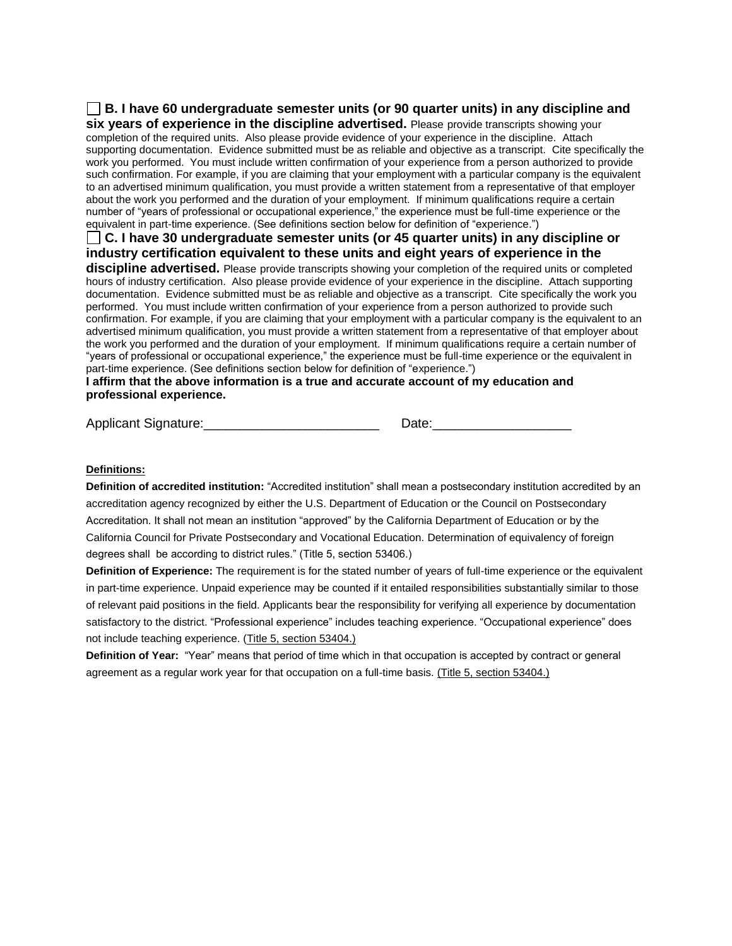**B. I have 60 undergraduate semester units (or 90 quarter units) in any discipline and six years of experience in the discipline advertised.** Please provide transcripts showing your completion of the required units. Also please provide evidence of your experience in the discipline. Attach supporting documentation. Evidence submitted must be as reliable and objective as a transcript. Cite specifically the work you performed. You must include written confirmation of your experience from a person authorized to provide such confirmation. For example, if you are claiming that your employment with a particular company is the equivalent to an advertised minimum qualification, you must provide a written statement from a representative of that employer about the work you performed and the duration of your employment. If minimum qualifications require a certain number of "years of professional or occupational experience," the experience must be full-time experience or the equivalent in part-time experience. (See definitions section below for definition of "experience.") **C. I have 30 undergraduate semester units (or 45 quarter units) in any discipline or industry certification equivalent to these units and eight years of experience in the discipline advertised.** Please provide transcripts showing your completion of the required units or completed hours of industry certification. Also please provide evidence of your experience in the discipline. Attach supporting documentation. Evidence submitted must be as reliable and objective as a transcript. Cite specifically the work you performed. You must include written confirmation of your experience from a person authorized to provide such confirmation. For example, if you are claiming that your employment with a particular company is the equivalent to an advertised minimum qualification, you must provide a written statement from a representative of that employer about the work you performed and the duration of your employment. If minimum qualifications require a certain number of

"years of professional or occupational experience," the experience must be full-time experience or the equivalent in part-time experience. (See definitions section below for definition of "experience.") **I affirm that the above information is a true and accurate account of my education and professional experience.** 

Applicant Signature:\_\_\_\_\_\_\_\_\_\_\_\_\_\_\_\_\_\_\_\_\_\_\_\_ Date:\_\_\_\_\_\_\_\_\_\_\_\_\_\_\_\_\_\_\_

## **Definitions:**

**Definition of accredited institution:** "Accredited institution" shall mean a postsecondary institution accredited by an accreditation agency recognized by either the U.S. Department of Education or the Council on Postsecondary Accreditation. It shall not mean an institution "approved" by the California Department of Education or by the California Council for Private Postsecondary and Vocational Education. Determination of equivalency of foreign degrees shall be according to district rules." (Title 5, section 53406.)

**Definition of Experience:** The requirement is for the stated number of years of full-time experience or the equivalent in part-time experience. Unpaid experience may be counted if it entailed responsibilities substantially similar to those of relevant paid positions in the field. Applicants bear the responsibility for verifying all experience by documentation satisfactory to the district. "Professional experience" includes teaching experience. "Occupational experience" does not include teaching experience. (Title 5, section 53404.)

**Definition of Year:** "Year" means that period of time which in that occupation is accepted by contract or general agreement as a regular work year for that occupation on a full-time basis. (Title 5, section 53404.)